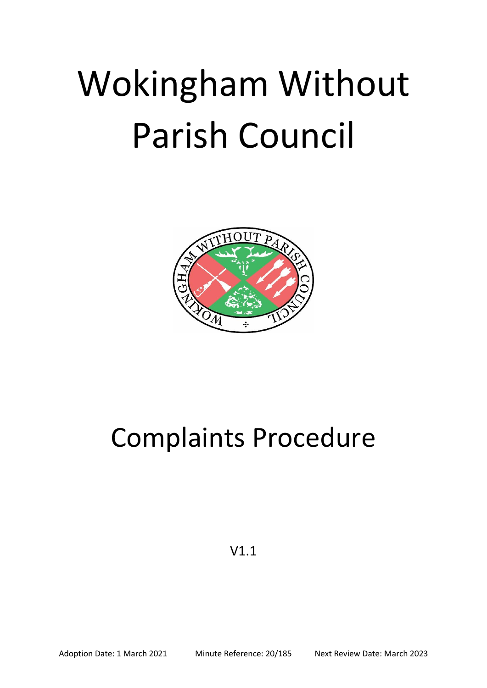## Wokingham Without Parish Council



## Complaints Procedure

V1.1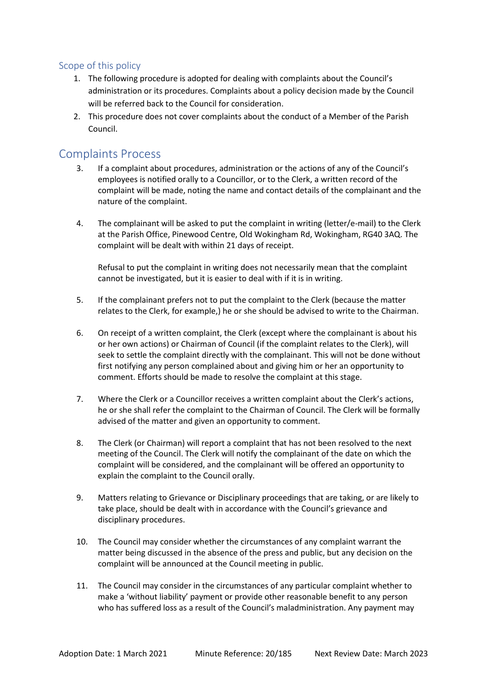## Scope of this policy

- 1. The following procedure is adopted for dealing with complaints about the Council's administration or its procedures. Complaints about a policy decision made by the Council will be referred back to the Council for consideration.
- 2. This procedure does not cover complaints about the conduct of a Member of the Parish Council.

## Complaints Process

- 3. If a complaint about procedures, administration or the actions of any of the Council's employees is notified orally to a Councillor, or to the Clerk, a written record of the complaint will be made, noting the name and contact details of the complainant and the nature of the complaint.
- 4. The complainant will be asked to put the complaint in writing (letter/e-mail) to the Clerk at the Parish Office, Pinewood Centre, Old Wokingham Rd, Wokingham, RG40 3AQ. The complaint will be dealt with within 21 days of receipt.

Refusal to put the complaint in writing does not necessarily mean that the complaint cannot be investigated, but it is easier to deal with if it is in writing.

- 5. If the complainant prefers not to put the complaint to the Clerk (because the matter relates to the Clerk, for example,) he or she should be advised to write to the Chairman.
- 6. On receipt of a written complaint, the Clerk (except where the complainant is about his or her own actions) or Chairman of Council (if the complaint relates to the Clerk), will seek to settle the complaint directly with the complainant. This will not be done without first notifying any person complained about and giving him or her an opportunity to comment. Efforts should be made to resolve the complaint at this stage.
- 7. Where the Clerk or a Councillor receives a written complaint about the Clerk's actions, he or she shall refer the complaint to the Chairman of Council. The Clerk will be formally advised of the matter and given an opportunity to comment.
- 8. The Clerk (or Chairman) will report a complaint that has not been resolved to the next meeting of the Council. The Clerk will notify the complainant of the date on which the complaint will be considered, and the complainant will be offered an opportunity to explain the complaint to the Council orally.
- 9. Matters relating to Grievance or Disciplinary proceedings that are taking, or are likely to take place, should be dealt with in accordance with the Council's grievance and disciplinary procedures.
- 10. The Council may consider whether the circumstances of any complaint warrant the matter being discussed in the absence of the press and public, but any decision on the complaint will be announced at the Council meeting in public.
- 11. The Council may consider in the circumstances of any particular complaint whether to make a 'without liability' payment or provide other reasonable benefit to any person who has suffered loss as a result of the Council's maladministration. Any payment may